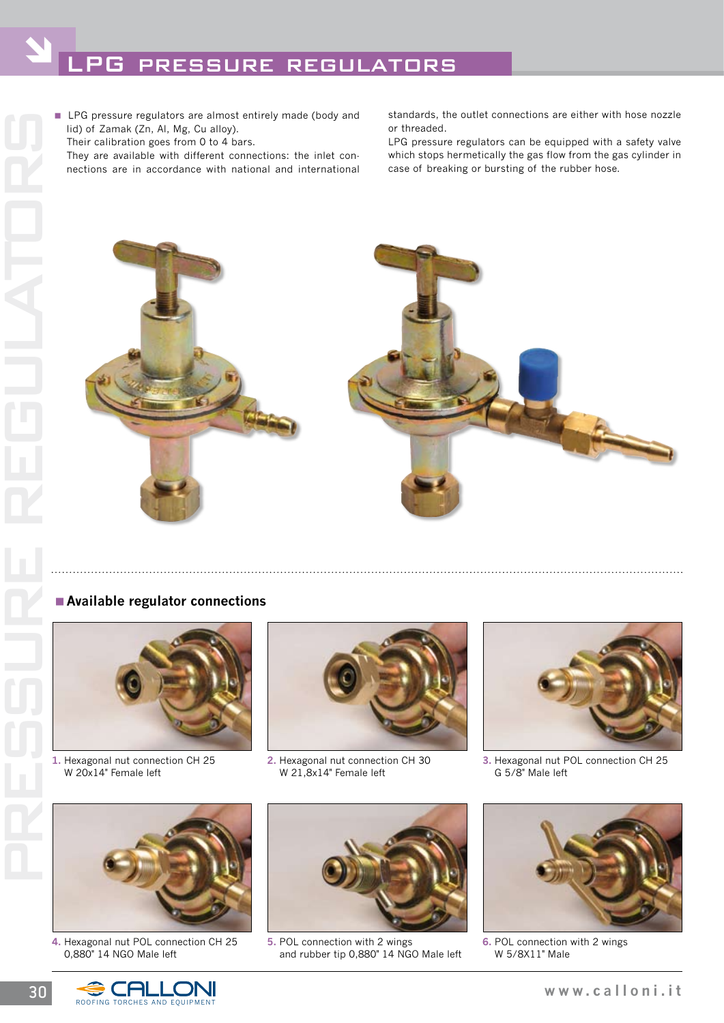lid) of Zamak (Zn, Al, Mg, Cu alloy).

Their calibration goes from 0 to 4 bars.

 They are available with different connections: the inlet connections are in accordance with national and international standards, the outlet connections are either with hose nozzle or threaded.

LPG pressure regulators can be equipped with a safety valve which stops hermetically the gas flow from the gas cylinder in case of breaking or bursting of the rubber hose.



## <**Available regulator connections**



**1.** Hexagonal nut connection CH 25 W 20x14" Female left



**2.** Hexagonal nut connection CH 30 W 21,8x14" Female left



**3.** Hexagonal nut POL connection CH 25 G 5/8" Male left



**4.** Hexagonal nut POL connection CH 25 0,880" 14 NGO Male left



**5.** POL connection with 2 wings and rubber tip 0,880" 14 NGO Male left



**6.** POL connection with 2 wings W 5/8X11" Male

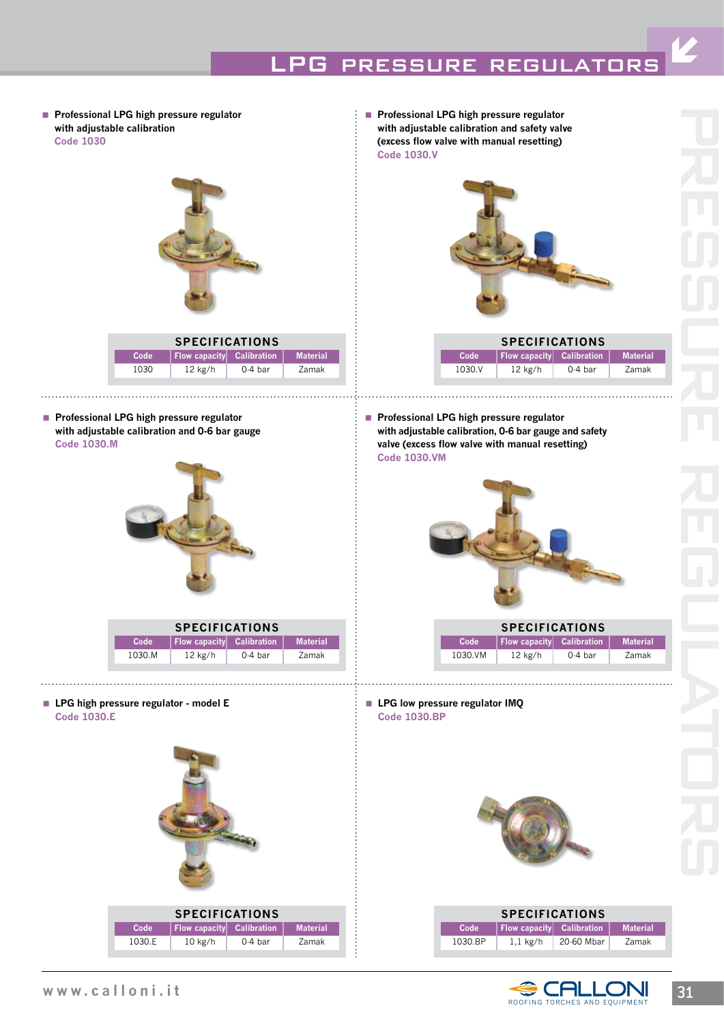## LPG PRESSURE REGULATOR

**Professional LPG high pressure regulator with adjustable calibration code 1030**



**Professional LPG high pressure regulator with adjustable calibration and 0-6 bar gauge code 1030.m**



| <b>SPECIFICATIONS</b> |                           |           |                 |  |
|-----------------------|---------------------------|-----------|-----------------|--|
| Code                  | Flow capacity Calibration |           | <b>Material</b> |  |
| 1030.M                | $12$ kg/h                 | $0.4$ bar | Zamak           |  |

**LPG high pressure regulator - model E code 1030.E**



■ Professional LPG high pressure regulator **with adjustable calibration and safety valve (excess flow valve with manual resetting) code 1030.V**



| <b>SPECIFICATIONS</b> |                           |           |                 |  |
|-----------------------|---------------------------|-----------|-----------------|--|
| Code                  | Flow capacity Calibration |           | <b>Material</b> |  |
| 1030 V                | $12$ kg/h                 | $0.4$ bar | Zamak           |  |

■ Professional LPG high pressure regulator **with adjustable calibration, 0-6 bar gauge and safety valve (excess flow valve with manual resetting) code 1030.vM**



| <b>SPECIFICATIONS</b> |                                  |           |                 |
|-----------------------|----------------------------------|-----------|-----------------|
| Code                  | <b>Flow capacity</b> Calibration |           | <b>Material</b> |
| 1030.VM               | $12$ kg/h                        | $0.4$ bar | Zamak           |

**LPG low pressure regulator IMQ code 1030.BP**



| <b>SPECIFICATIONS</b> |                                  |            |                 |  |
|-----------------------|----------------------------------|------------|-----------------|--|
| Code                  | <b>Flow capacity</b> Calibration |            | <b>Material</b> |  |
| 1030 BP               | $1.1 \text{ kg/h}$               | 20-60 Mbar | Zamak           |  |



Ó